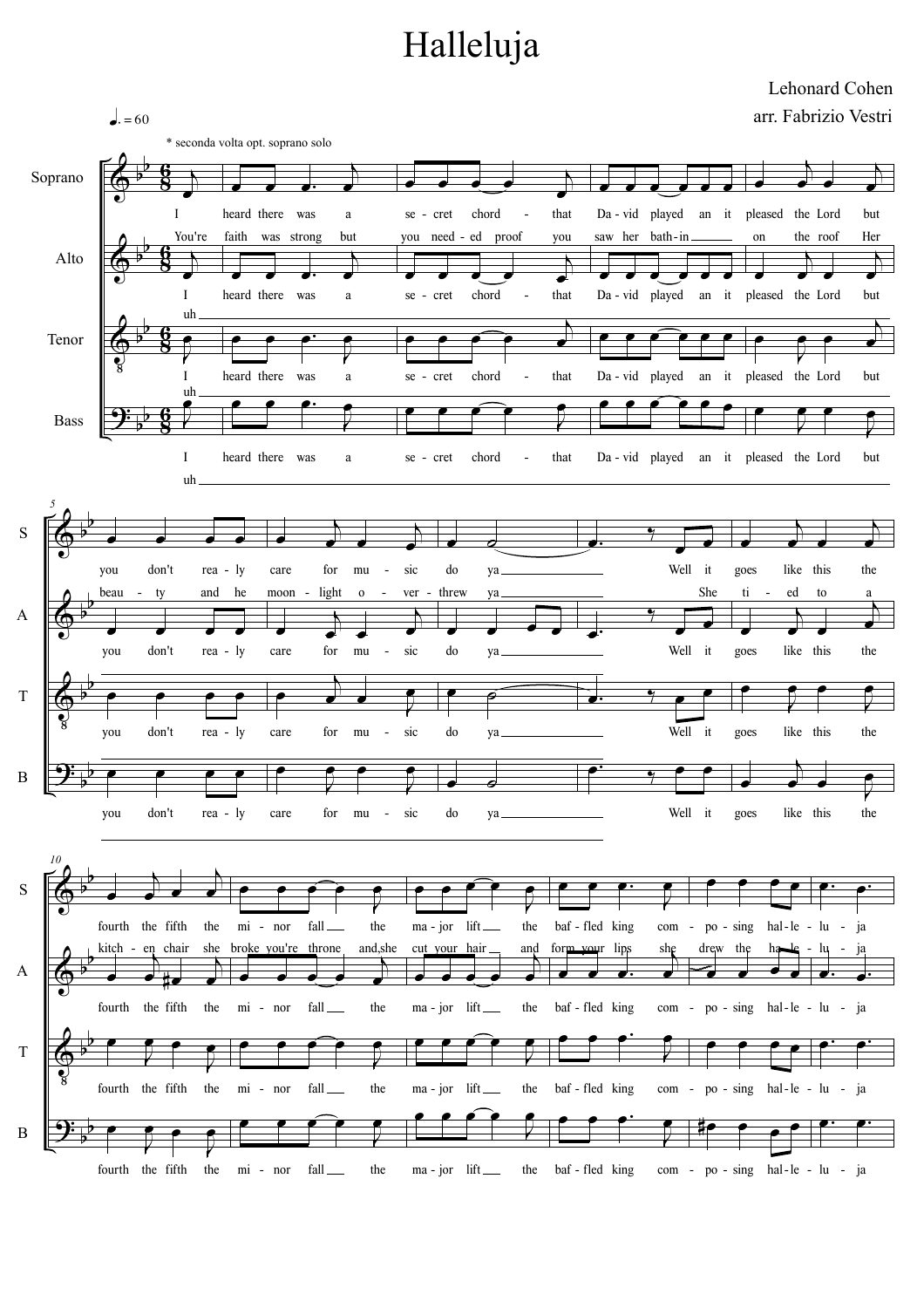## Halleluja

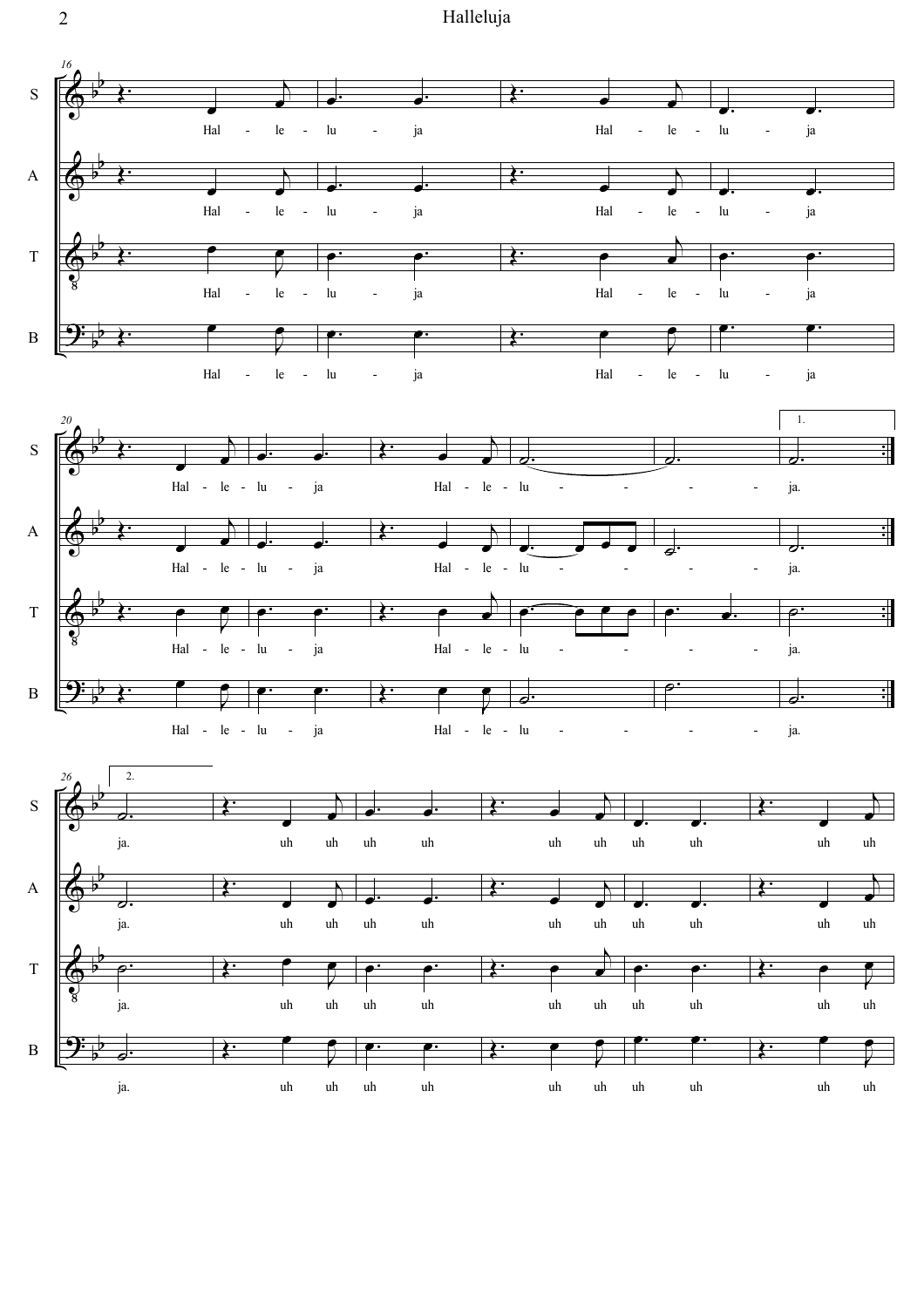Halleluja



 $\overline{2}$